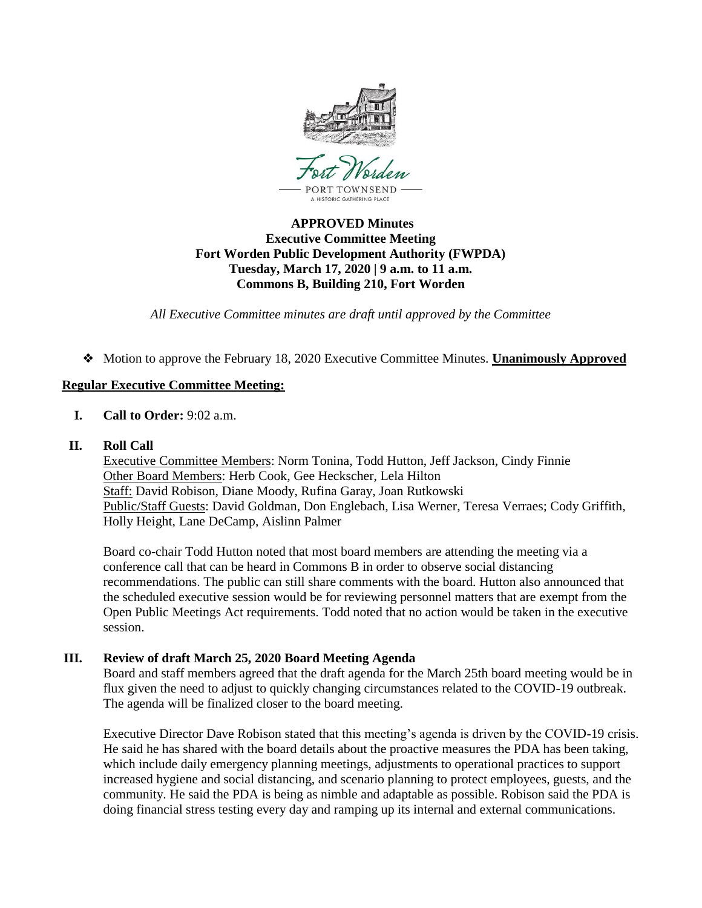

## **APPROVED Minutes Executive Committee Meeting Fort Worden Public Development Authority (FWPDA) Tuesday, March 17, 2020 | 9 a.m. to 11 a.m. Commons B, Building 210, Fort Worden**

*All Executive Committee minutes are draft until approved by the Committee*

❖ Motion to approve the February 18, 2020 Executive Committee Minutes. **Unanimously Approved**

### **Regular Executive Committee Meeting:**

- **I. Call to Order:** 9:02 a.m.
- **II. Roll Call**

Executive Committee Members: Norm Tonina, Todd Hutton, Jeff Jackson, Cindy Finnie Other Board Members: Herb Cook, Gee Heckscher, Lela Hilton Staff: David Robison, Diane Moody, Rufina Garay, Joan Rutkowski Public/Staff Guests: David Goldman, Don Englebach, Lisa Werner, Teresa Verraes; Cody Griffith, Holly Height, Lane DeCamp, Aislinn Palmer

Board co-chair Todd Hutton noted that most board members are attending the meeting via a conference call that can be heard in Commons B in order to observe social distancing recommendations. The public can still share comments with the board. Hutton also announced that the scheduled executive session would be for reviewing personnel matters that are exempt from the Open Public Meetings Act requirements. Todd noted that no action would be taken in the executive session.

## **III. Review of draft March 25, 2020 Board Meeting Agenda**

Board and staff members agreed that the draft agenda for the March 25th board meeting would be in flux given the need to adjust to quickly changing circumstances related to the COVID-19 outbreak. The agenda will be finalized closer to the board meeting.

Executive Director Dave Robison stated that this meeting's agenda is driven by the COVID-19 crisis. He said he has shared with the board details about the proactive measures the PDA has been taking, which include daily emergency planning meetings, adjustments to operational practices to support increased hygiene and social distancing, and scenario planning to protect employees, guests, and the community. He said the PDA is being as nimble and adaptable as possible. Robison said the PDA is doing financial stress testing every day and ramping up its internal and external communications.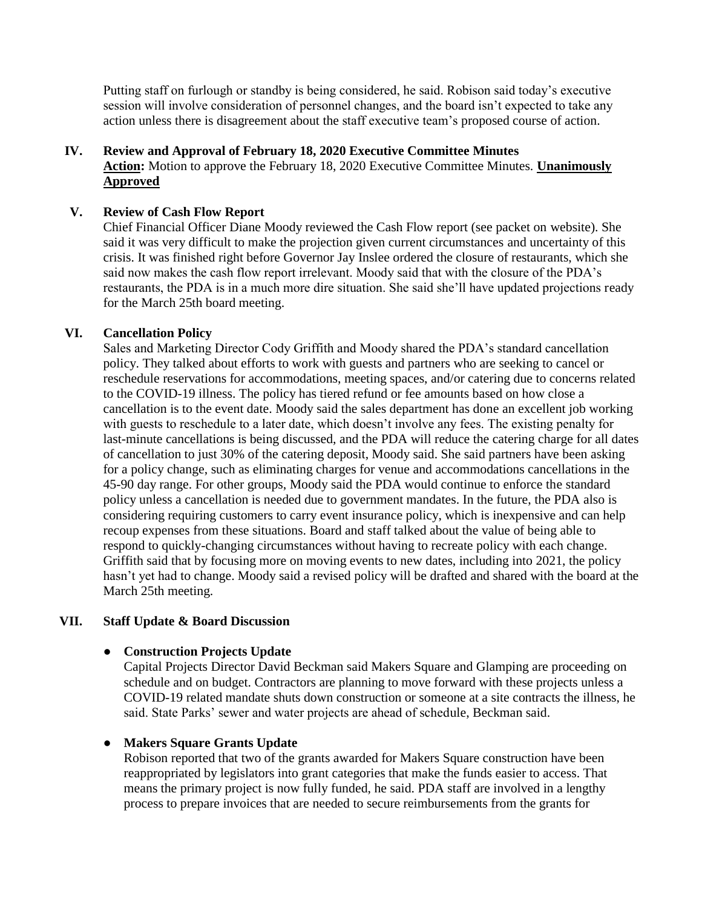Putting staff on furlough or standby is being considered, he said. Robison said today's executive session will involve consideration of personnel changes, and the board isn't expected to take any action unless there is disagreement about the staff executive team's proposed course of action.

## **IV. Review and Approval of February 18, 2020 Executive Committee Minutes Action:** Motion to approve the February 18, 2020 Executive Committee Minutes. **Unanimously Approved**

### **V. Review of Cash Flow Report**

Chief Financial Officer Diane Moody reviewed the Cash Flow report (see packet on website). She said it was very difficult to make the projection given current circumstances and uncertainty of this crisis. It was finished right before Governor Jay Inslee ordered the closure of restaurants, which she said now makes the cash flow report irrelevant. Moody said that with the closure of the PDA's restaurants, the PDA is in a much more dire situation. She said she'll have updated projections ready for the March 25th board meeting.

### **VI. Cancellation Policy**

Sales and Marketing Director Cody Griffith and Moody shared the PDA's standard cancellation policy. They talked about efforts to work with guests and partners who are seeking to cancel or reschedule reservations for accommodations, meeting spaces, and/or catering due to concerns related to the COVID-19 illness. The policy has tiered refund or fee amounts based on how close a cancellation is to the event date. Moody said the sales department has done an excellent job working with guests to reschedule to a later date, which doesn't involve any fees. The existing penalty for last-minute cancellations is being discussed, and the PDA will reduce the catering charge for all dates of cancellation to just 30% of the catering deposit, Moody said. She said partners have been asking for a policy change, such as eliminating charges for venue and accommodations cancellations in the 45-90 day range. For other groups, Moody said the PDA would continue to enforce the standard policy unless a cancellation is needed due to government mandates. In the future, the PDA also is considering requiring customers to carry event insurance policy, which is inexpensive and can help recoup expenses from these situations. Board and staff talked about the value of being able to respond to quickly-changing circumstances without having to recreate policy with each change. Griffith said that by focusing more on moving events to new dates, including into 2021, the policy hasn't yet had to change. Moody said a revised policy will be drafted and shared with the board at the March 25th meeting.

## **VII. Staff Update & Board Discussion**

## ● **Construction Projects Update**

Capital Projects Director David Beckman said Makers Square and Glamping are proceeding on schedule and on budget. Contractors are planning to move forward with these projects unless a COVID-19 related mandate shuts down construction or someone at a site contracts the illness, he said. State Parks' sewer and water projects are ahead of schedule, Beckman said.

#### ● **Makers Square Grants Update**

Robison reported that two of the grants awarded for Makers Square construction have been reappropriated by legislators into grant categories that make the funds easier to access. That means the primary project is now fully funded, he said. PDA staff are involved in a lengthy process to prepare invoices that are needed to secure reimbursements from the grants for